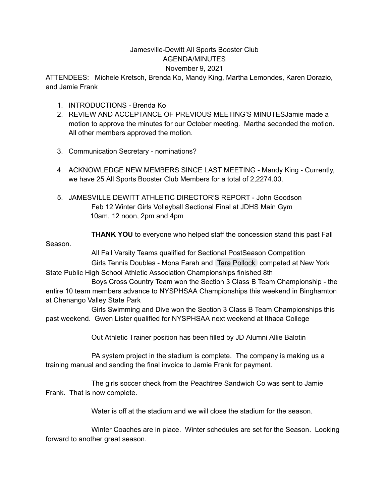## Jamesville-Dewitt All Sports Booster Club AGENDA/MINUTES November 9, 2021

ATTENDEES: Michele Kretsch, Brenda Ko, Mandy King, Martha Lemondes, Karen Dorazio, and Jamie Frank

- 1. INTRODUCTIONS Brenda Ko
- 2. REVIEW AND ACCEPTANCE OF PREVIOUS MEETING'S MINUTESJamie made a motion to approve the minutes for our October meeting. Martha seconded the motion. All other members approved the motion.
- 3. Communication Secretary nominations?
- 4. ACKNOWLEDGE NEW MEMBERS SINCE LAST MEETING Mandy King Currently, we have 25 All Sports Booster Club Members for a total of 2,2274.00.
- 5. JAMESVILLE DEWITT ATHLETIC DIRECTOR'S REPORT John Goodson Feb 12 Winter Girls Volleyball Sectional Final at JDHS Main Gym 10am, 12 noon, 2pm and 4pm

**THANK YOU** to everyone who helped staff the concession stand this past Fall Season.

All Fall Varsity Teams qualified for Sectional PostSeason Competition

Girls Tennis Doubles - Mona Farah and Tara [Pollock](mailto:23tpollock@jd.cnyric.org) competed at New York State Public High School Athletic Association Championships finished 8th

Boys Cross Country Team won the Section 3 Class B Team Championship - the entire 10 team members advance to NYSPHSAA Championships this weekend in Binghamton at Chenango Valley State Park

Girls Swimming and Dive won the Section 3 Class B Team Championships this past weekend. Gwen Lister qualified for NYSPHSAA next weekend at Ithaca College

Out Athletic Trainer position has been filled by JD Alumni Allie Balotin

PA system project in the stadium is complete. The company is making us a training manual and sending the final invoice to Jamie Frank for payment.

The girls soccer check from the Peachtree Sandwich Co was sent to Jamie Frank. That is now complete.

Water is off at the stadium and we will close the stadium for the season.

Winter Coaches are in place. Winter schedules are set for the Season. Looking forward to another great season.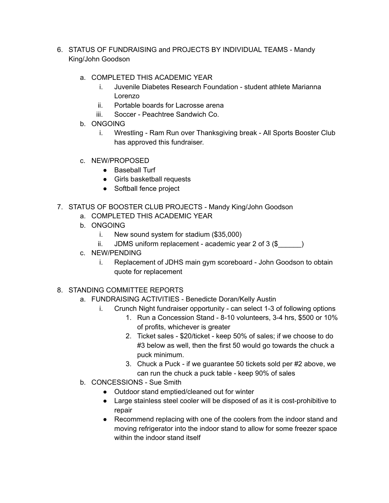- 6. STATUS OF FUNDRAISING and PROJECTS BY INDIVIDUAL TEAMS Mandy King/John Goodson
	- a. COMPLETED THIS ACADEMIC YEAR
		- i. Juvenile Diabetes Research Foundation student athlete Marianna Lorenzo
		- ii. Portable boards for Lacrosse arena
		- iii. Soccer Peachtree Sandwich Co.
	- b. ONGOING
		- i. Wrestling Ram Run over Thanksgiving break All Sports Booster Club has approved this fundraiser.
	- c. NEW/PROPOSED
		- Baseball Turf
		- Girls basketball requests
		- Softball fence project
- 7. STATUS OF BOOSTER CLUB PROJECTS Mandy King/John Goodson
	- a. COMPLETED THIS ACADEMIC YEAR
	- b. ONGOING
		- i. New sound system for stadium (\$35,000)
		- ii. JDMS uniform replacement academic year  $2$  of  $3$  (\$)
	- c. NEW/PENDING
		- i. Replacement of JDHS main gym scoreboard John Goodson to obtain quote for replacement
- 8. STANDING COMMITTEE REPORTS
	- a. FUNDRAISING ACTIVITIES Benedicte Doran/Kelly Austin
		- i. Crunch Night fundraiser opportunity can select 1-3 of following options
			- 1. Run a Concession Stand 8-10 volunteers, 3-4 hrs, \$500 or 10% of profits, whichever is greater
			- 2. Ticket sales \$20/ticket keep 50% of sales; if we choose to do #3 below as well, then the first 50 would go towards the chuck a puck minimum.
			- 3. Chuck a Puck if we guarantee 50 tickets sold per #2 above, we can run the chuck a puck table - keep 90% of sales
	- b. CONCESSIONS Sue Smith
		- Outdoor stand emptied/cleaned out for winter
		- Large stainless steel cooler will be disposed of as it is cost-prohibitive to repair
		- Recommend replacing with one of the coolers from the indoor stand and moving refrigerator into the indoor stand to allow for some freezer space within the indoor stand itself